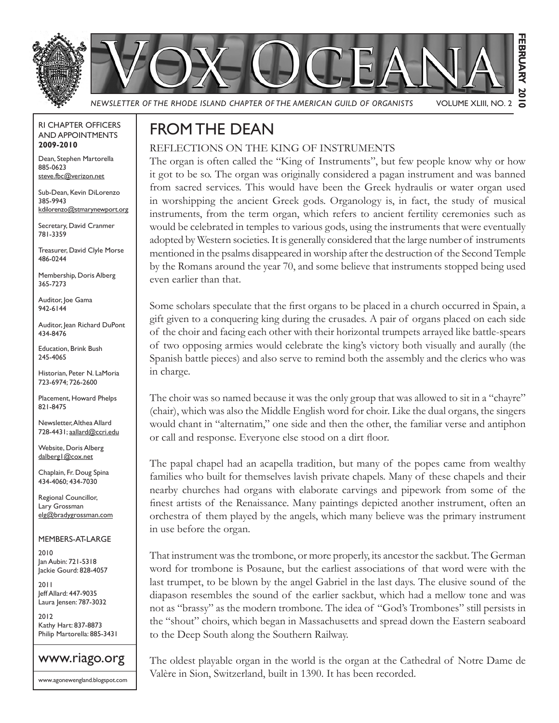

#### RI CHAPTER OFFICERS AND APPOINTMENTS **2009-2010**

Dean, Stephen Martorella 885-0623 steve.fbc@verizon.net

Sub-Dean, Kevin DiLorenzo 385-9943 kdilorenzo@stmarynewport.org

Secretary, David Cranmer 781-3359

Treasurer, David Clyle Morse 486-0244

Membership, Doris Alberg 365-7273

Auditor, Joe Gama 942-6144

Auditor, Jean Richard DuPont 434-8476

Education, Brink Bush 245-4065

Historian, Peter N. LaMoria 723-6974; 726-2600

Placement, Howard Phelps 821-8475

Newsletter, Althea Allard 728-4431; aallard@ccri.edu

Website, Doris Alberg dalberg1@cox.net

Chaplain, Fr. Doug Spina 434-4060; 434-7030

Regional Councillor, Lary Grossman elg@bradygrossman.com

MEMBERS-AT-LARGE 2010

Jan Aubin: 721-5318 Jackie Gourd: 828-4057

2011 Jeff Allard: 447-9035 Laura Jensen: 787-3032

2012 Kathy Hart: 837-8873 Philip Martorella: 885-3431



www.agonewengland.blogspot.com

### FROM THE DEAN

#### REFLECTIONS ON THE KING OF INSTRUMENTS

The organ is often called the "King of Instruments", but few people know why or how it got to be so. The organ was originally considered a pagan instrument and was banned from sacred services. This would have been the Greek hydraulis or water organ used in worshipping the ancient Greek gods. Organology is, in fact, the study of musical instruments, from the term organ, which refers to ancient fertility ceremonies such as would be celebrated in temples to various gods, using the instruments that were eventually adopted by Western societies. It is generally considered that the large number of instruments mentioned in the psalms disappeared in worship after the destruction of the Second Temple by the Romans around the year 70, and some believe that instruments stopped being used even earlier than that.

Some scholars speculate that the first organs to be placed in a church occurred in Spain, a gift given to a conquering king during the crusades. A pair of organs placed on each side of the choir and facing each other with their horizontal trumpets arrayed like battle-spears of two opposing armies would celebrate the king's victory both visually and aurally (the Spanish battle pieces) and also serve to remind both the assembly and the clerics who was in charge.

The choir was so named because it was the only group that was allowed to sit in a "chayre" (chair), which was also the Middle English word for choir. Like the dual organs, the singers would chant in "alternatim," one side and then the other, the familiar verse and antiphon or call and response. Everyone else stood on a dirt floor.

The papal chapel had an acapella tradition, but many of the popes came from wealthy families who built for themselves lavish private chapels. Many of these chapels and their nearby churches had organs with elaborate carvings and pipework from some of the finest artists of the Renaissance. Many paintings depicted another instrument, often an orchestra of them played by the angels, which many believe was the primary instrument in use before the organ.

That instrument was the trombone, or more properly, its ancestor the sackbut. The German word for trombone is Posaune, but the earliest associations of that word were with the last trumpet, to be blown by the angel Gabriel in the last days. The elusive sound of the diapason resembles the sound of the earlier sackbut, which had a mellow tone and was not as "brassy" as the modern trombone. The idea of "God's Trombones" still persists in the "shout" choirs, which began in Massachusetts and spread down the Eastern seaboard to the Deep South along the Southern Railway.

The oldest playable organ in the world is the organ at the Cathedral of Notre Dame de Valère in Sion, Switzerland, built in 1390. It has been recorded.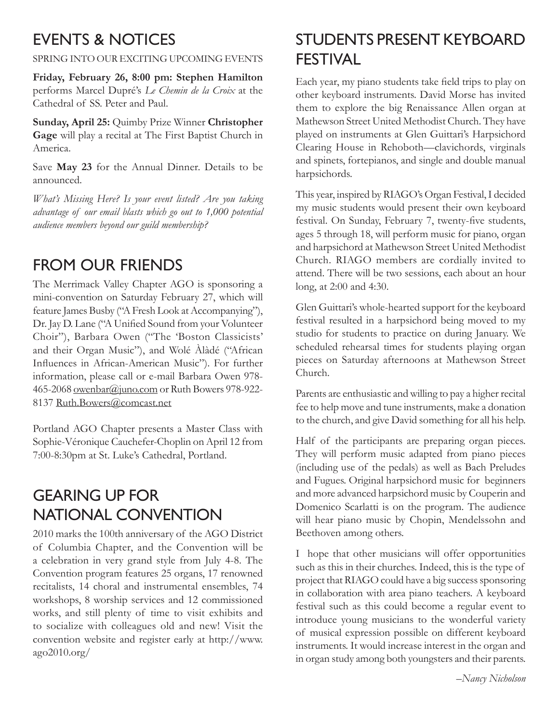# EVENTS & NOTICES

SPRING INTO OUR EXCITING UPCOMING EVENTS

**Friday, February 26, 8:00 pm: Stephen Hamilton**  performs Marcel Dupré's *Le Chemin de la Croix* at the Cathedral of SS. Peter and Paul.

**Sunday, April 25:** Quimby Prize Winner **Christopher Gage** will play a recital at The First Baptist Church in America.

Save **May 23** for the Annual Dinner. Details to be announced.

*What's Missing Here? Is your event listed? Are you taking advantage of our email blasts which go out to 1,000 potential audience members beyond our guild membership?*

# FROM OUR FRIENDS

The Merrimack Valley Chapter AGO is sponsoring a mini-convention on Saturday February 27, which will feature James Busby ("A Fresh Look at Accompanying"), Dr. Jay D. Lane ("A Unified Sound from your Volunteer Choir"), Barbara Owen ("The 'Boston Classicists' and their Organ Music"), and Wolé Àlàdé ("African Influences in African-American Music"). For further information, please call or e-mail Barbara Owen 978- 465-2068 owenbar@juno.com or Ruth Bowers 978-922-8137 Ruth.Bowers@comcast.net

Portland AGO Chapter presents a Master Class with Sophie-Véronique Cauchefer-Choplin on April 12 from 7:00-8:30pm at St. Luke's Cathedral, Portland.

### GEARING UP FOR NATIONAL CONVENTION

2010 marks the 100th anniversary of the AGO District of Columbia Chapter, and the Convention will be a celebration in very grand style from July 4-8. The Convention program features 25 organs, 17 renowned recitalists, 14 choral and instrumental ensembles, 74 workshops, 8 worship services and 12 commissioned works, and still plenty of time to visit exhibits and to socialize with colleagues old and new! Visit the convention website and register early at http://www. ago2010.org/

# STUDENTS PRESENT KEYBOARD FESTIVAL

Each year, my piano students take field trips to play on other keyboard instruments. David Morse has invited them to explore the big Renaissance Allen organ at Mathewson Street United Methodist Church. They have played on instruments at Glen Guittari's Harpsichord Clearing House in Rehoboth—clavichords, virginals and spinets, fortepianos, and single and double manual harpsichords.

This year, inspired by RIAGO's Organ Festival, I decided my music students would present their own keyboard festival. On Sunday, February 7, twenty-five students, ages 5 through 18, will perform music for piano, organ and harpsichord at Mathewson Street United Methodist Church. RIAGO members are cordially invited to attend. There will be two sessions, each about an hour long, at 2:00 and 4:30.

Glen Guittari's whole-hearted support for the keyboard festival resulted in a harpsichord being moved to my studio for students to practice on during January. We scheduled rehearsal times for students playing organ pieces on Saturday afternoons at Mathewson Street Church.

Parents are enthusiastic and willing to pay a higher recital fee to help move and tune instruments, make a donation to the church, and give David something for all his help.

Half of the participants are preparing organ pieces. They will perform music adapted from piano pieces (including use of the pedals) as well as Bach Preludes and Fugues. Original harpsichord music for beginners and more advanced harpsichord music by Couperin and Domenico Scarlatti is on the program. The audience will hear piano music by Chopin, Mendelssohn and Beethoven among others.

I hope that other musicians will offer opportunities such as this in their churches. Indeed, this is the type of project that RIAGO could have a big success sponsoring in collaboration with area piano teachers. A keyboard festival such as this could become a regular event to introduce young musicians to the wonderful variety of musical expression possible on different keyboard instruments. It would increase interest in the organ and in organ study among both youngsters and their parents.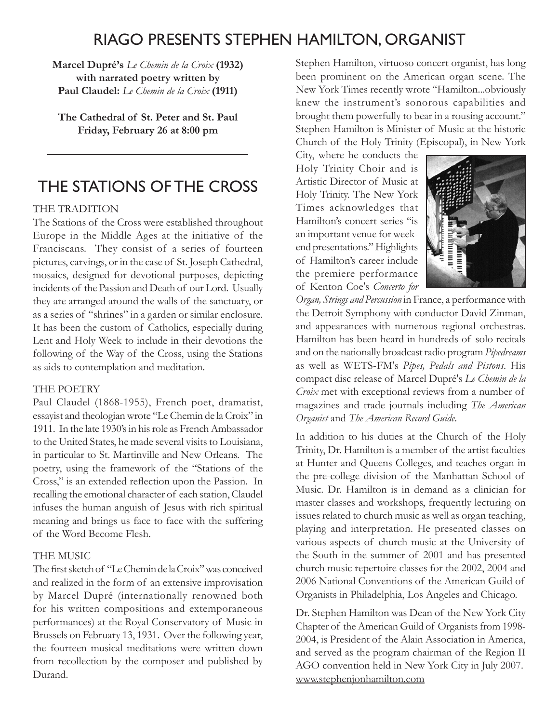#### RIAGO PRESENTS STEPHEN HAMILTON, ORGANIST

**Marcel Dupré's** *Le Chemin de la Croix* **(1932) with narrated poetry written by Paul Claudel:** *Le Chemin de la Croix* **(1911)** 

**The Cathedral of St. Peter and St. Paul Friday, February 26 at 8:00 pm**

### THE STATIONS OF THE CROSS

#### THE TRADITION

The Stations of the Cross were established throughout Europe in the Middle Ages at the initiative of the Franciscans. They consist of a series of fourteen pictures, carvings, or in the case of St. Joseph Cathedral, mosaics, designed for devotional purposes, depicting incidents of the Passion and Death of our Lord. Usually they are arranged around the walls of the sanctuary, or as a series of "shrines" in a garden or similar enclosure. It has been the custom of Catholics, especially during Lent and Holy Week to include in their devotions the following of the Way of the Cross, using the Stations as aids to contemplation and meditation.

#### THE POETRY

Paul Claudel (1868-1955), French poet, dramatist, essayist and theologian wrote "Le Chemin de la Croix" in 1911. In the late 1930's in his role as French Ambassador to the United States, he made several visits to Louisiana, in particular to St. Martinville and New Orleans. The poetry, using the framework of the "Stations of the Cross," is an extended reflection upon the Passion. In recalling the emotional character of each station, Claudel infuses the human anguish of Jesus with rich spiritual meaning and brings us face to face with the suffering of the Word Become Flesh.

#### THE MUSIC

The first sketch of "Le Chemin de la Croix" was conceived and realized in the form of an extensive improvisation by Marcel Dupré (internationally renowned both for his written compositions and extemporaneous performances) at the Royal Conservatory of Music in Brussels on February 13, 1931. Over the following year, the fourteen musical meditations were written down from recollection by the composer and published by Durand.

Stephen Hamilton, virtuoso concert organist, has long been prominent on the American organ scene. The New York Times recently wrote "Hamilton...obviously knew the instrument's sonorous capabilities and brought them powerfully to bear in a rousing account." Stephen Hamilton is Minister of Music at the historic Church of the Holy Trinity (Episcopal), in New York

City, where he conducts the Holy Trinity Choir and is Artistic Director of Music at Holy Trinity. The New York Times acknowledges that Hamilton's concert series "is an important venue for weekend presentations." Highlights of Hamilton's career include the premiere performance of Kenton Coe's *Concerto for* 



*Organ, Strings and Percussion* in France, a performance with the Detroit Symphony with conductor David Zinman, and appearances with numerous regional orchestras. Hamilton has been heard in hundreds of solo recitals and on the nationally broadcast radio program *Pipedreams* as well as WETS-FM's *Pipes, Pedals and Pistons*. His compact disc release of Marcel Dupré's *Le Chemin de la Croix* met with exceptional reviews from a number of magazines and trade journals including *The American Organist* and *The American Record Guide*.

In addition to his duties at the Church of the Holy Trinity, Dr. Hamilton is a member of the artist faculties at Hunter and Queens Colleges, and teaches organ in the pre-college division of the Manhattan School of Music. Dr. Hamilton is in demand as a clinician for master classes and workshops, frequently lecturing on issues related to church music as well as organ teaching, playing and interpretation. He presented classes on various aspects of church music at the University of the South in the summer of 2001 and has presented church music repertoire classes for the 2002, 2004 and 2006 National Conventions of the American Guild of Organists in Philadelphia, Los Angeles and Chicago.

Dr. Stephen Hamilton was Dean of the New York City Chapter of the American Guild of Organists from 1998- 2004, is President of the Alain Association in America, and served as the program chairman of the Region II AGO convention held in New York City in July 2007. www.stephenjonhamilton.com